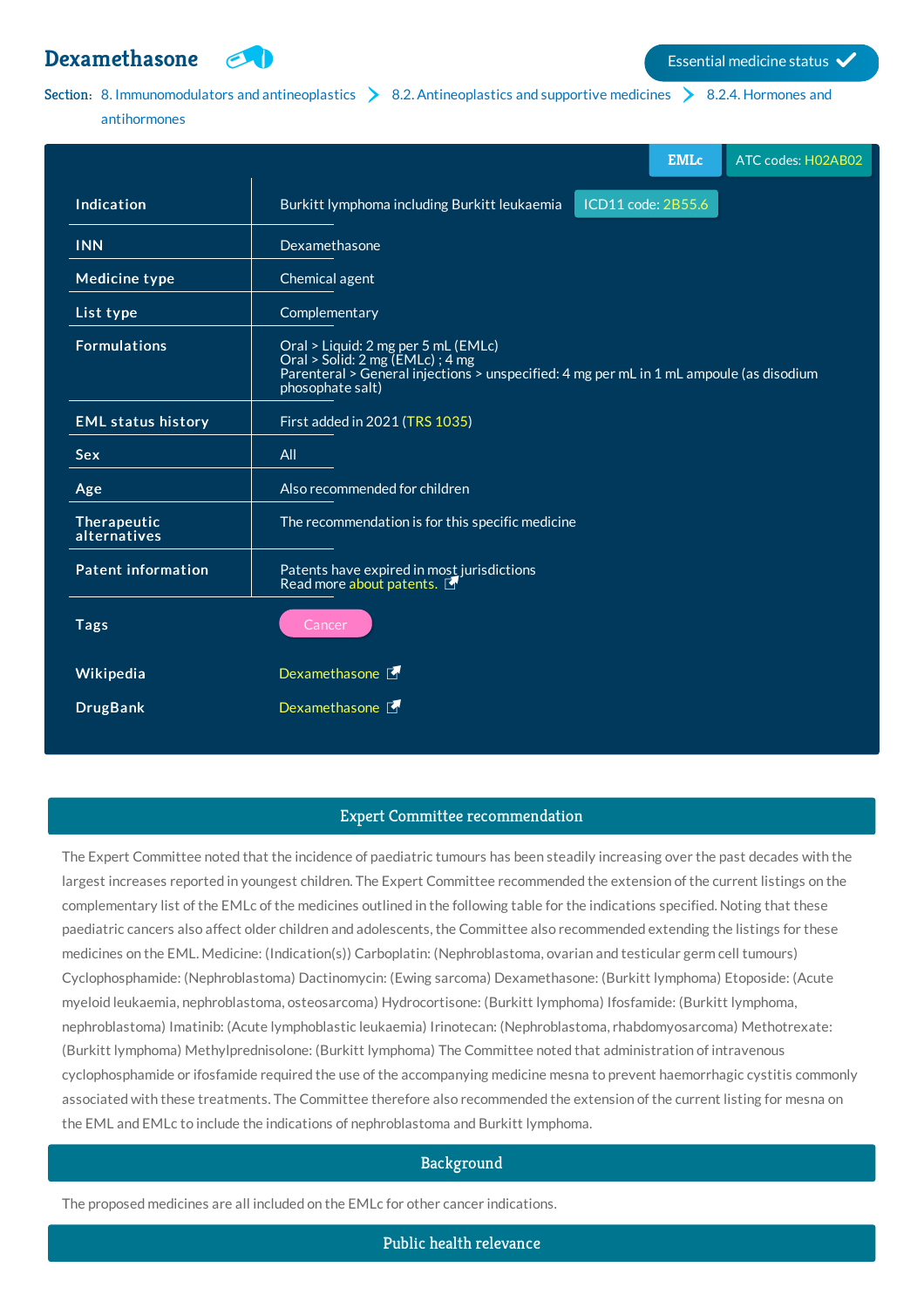# **[Dexamethasone](http://list.essentialmeds.org/medicines/21) Examethasis**



# Section: 8. [Immunomodulators](http://list.essentialmeds.org/?section=483) and antineoplastics  $\geq 8.2$ . [Antineoplastics](http://list.essentialmeds.org/?section=376) and supportive medicines  $\geq 8.2.4$ . Hormones and

#### antihormones

|                             | <b>EMLc</b><br>ATC codes: H02AB02                                                                                                                                                      |
|-----------------------------|----------------------------------------------------------------------------------------------------------------------------------------------------------------------------------------|
| Indication                  | Burkitt lymphoma including Burkitt leukaemia<br>ICD11 code: 2B55.6                                                                                                                     |
| <b>INN</b>                  | Dexamethasone                                                                                                                                                                          |
| <b>Medicine type</b>        | Chemical agent                                                                                                                                                                         |
| List type                   | Complementary                                                                                                                                                                          |
| <b>Formulations</b>         | Oral > Liquid: 2 mg per 5 mL (EMLc)<br>Oral > Solid: 2 mg (EMLc) ; 4 mg<br>Parenteral > General injections > unspecified: 4 mg per mL in 1 mL ampoule (as disodium<br>phosophate salt) |
| <b>EML status history</b>   | First added in 2021 (TRS 1035)                                                                                                                                                         |
| <b>Sex</b>                  | All                                                                                                                                                                                    |
| Age                         | Also recommended for children                                                                                                                                                          |
| Therapeutic<br>alternatives | The recommendation is for this specific medicine                                                                                                                                       |
| <b>Patent information</b>   | Patents have expired in most jurisdictions<br>Read more about patents.                                                                                                                 |
| <b>Tags</b>                 | Cancer                                                                                                                                                                                 |
| Wikipedia                   | Dexamethasone F                                                                                                                                                                        |
| <b>DrugBank</b>             | Dexamethasone F                                                                                                                                                                        |

### Expert Committee recommendation

The Expert Committee noted that the incidence of paediatric tumours has been steadily increasing over the past decades with the largest increases reported in youngest children. The Expert Committee recommended the extension of the current listings on the complementary list of the EMLc of the medicines outlined in the following table for the indications specified. Noting that these paediatric cancers also affect older children and adolescents, the Committee also recommended extending the listings for these medicines on the EML. Medicine: (Indication(s)) Carboplatin: (Nephroblastoma, ovarian and testicular germ cell tumours) Cyclophosphamide: (Nephroblastoma) Dactinomycin: (Ewing sarcoma) Dexamethasone: (Burkitt lymphoma) Etoposide: (Acute myeloid leukaemia, nephroblastoma, osteosarcoma) Hydrocortisone: (Burkitt lymphoma) Ifosfamide: (Burkitt lymphoma, nephroblastoma) Imatinib: (Acute lymphoblastic leukaemia) Irinotecan: (Nephroblastoma, rhabdomyosarcoma) Methotrexate: (Burkitt lymphoma) Methylprednisolone: (Burkitt lymphoma) The Committee noted that administration of intravenous cyclophosphamide or ifosfamide required the use of the accompanying medicine mesna to prevent haemorrhagic cystitis commonly associated with these treatments. The Committee therefore also recommended the extension of the current listing for mesna on the EML and EMLc to include the indications of nephroblastoma and Burkitt lymphoma.

# Background

The proposed medicines are all included on the EMLc for other cancer indications.

Public health relevance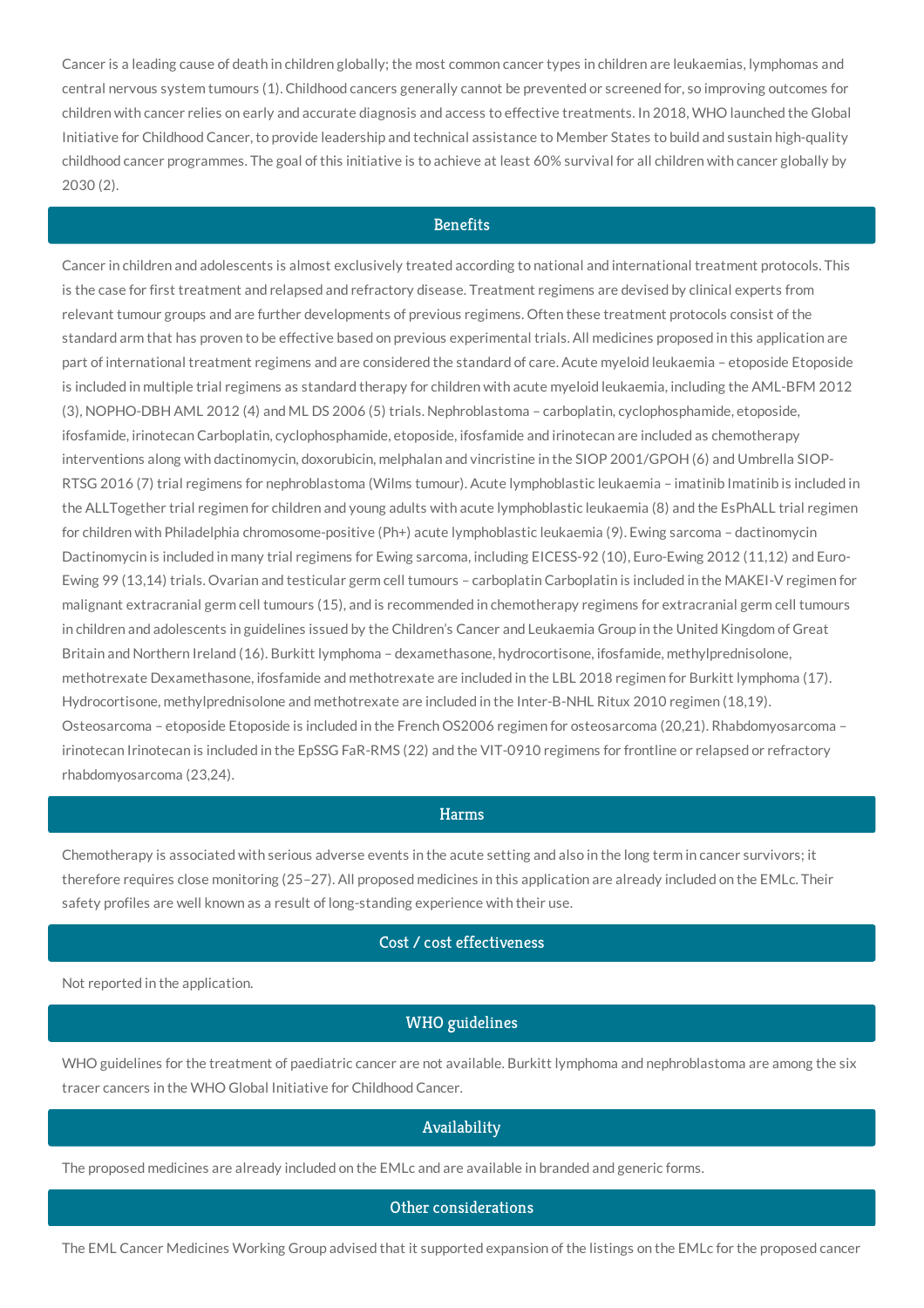Cancer is a leading cause of death in children globally; the most common cancer types in children are leukaemias, lymphomas and central nervous system tumours (1). Childhood cancers generally cannot be prevented or screened for, so improving outcomes for children with cancer relies on early and accurate diagnosis and access to effective treatments. In 2018, WHO launched the Global Initiative for Childhood Cancer, to provide leadership and technical assistance to Member States to build and sustain high-quality childhood cancer programmes. The goal of this initiative is to achieve at least 60% survival for all children with cancer globally by 2030 (2).

### **Benefits**

Cancer in children and adolescents is almost exclusively treated according to national and international treatment protocols. This is the case for first treatment and relapsed and refractory disease. Treatment regimens are devised by clinical experts from relevant tumour groups and are further developments of previous regimens. Often these treatment protocols consist of the standard arm that has proven to be effective based on previous experimental trials. All medicines proposed in this application are part of international treatment regimens and are considered the standard of care. Acute myeloid leukaemia – etoposide Etoposide is included in multiple trial regimens as standard therapy for children with acute myeloid leukaemia, including the AML-BFM 2012 (3), NOPHO-DBH AML 2012 (4) and ML DS 2006 (5) trials. Nephroblastoma – carboplatin, cyclophosphamide, etoposide, ifosfamide, irinotecan Carboplatin, cyclophosphamide, etoposide, ifosfamide and irinotecan are included as chemotherapy interventions along with dactinomycin, doxorubicin, melphalan and vincristine in the SIOP 2001/GPOH (6) and Umbrella SIOP-RTSG 2016 (7) trial regimens for nephroblastoma (Wilms tumour). Acute lymphoblastic leukaemia – imatinib Imatinib is included in the ALLTogether trial regimen for children and young adults with acute lymphoblastic leukaemia (8) and the EsPhALL trial regimen for children with Philadelphia chromosome-positive (Ph+) acute lymphoblastic leukaemia (9). Ewing sarcoma – dactinomycin Dactinomycin is included in many trial regimens for Ewing sarcoma, including EICESS-92 (10), Euro-Ewing 2012 (11,12) and Euro-Ewing 99 (13,14) trials. Ovarian and testicular germ cell tumours – carboplatin Carboplatin is included in the MAKEI-V regimen for malignant extracranial germ cell tumours (15), and is recommended in chemotherapy regimens for extracranial germ cell tumours in children and adolescents in guidelines issued by the Children's Cancer and Leukaemia Group in the United Kingdom of Great Britain and Northern Ireland (16). Burkitt lymphoma – dexamethasone, hydrocortisone, ifosfamide, methylprednisolone, methotrexate Dexamethasone, ifosfamide and methotrexate are included in the LBL 2018 regimen for Burkitt lymphoma (17). Hydrocortisone, methylprednisolone and methotrexate are included in the Inter-B-NHL Ritux 2010 regimen (18,19). Osteosarcoma – etoposide Etoposide is included in the French OS2006 regimen for osteosarcoma (20,21). Rhabdomyosarcoma – irinotecan Irinotecan is included in the EpSSG FaR-RMS (22) and the VIT-0910 regimens for frontline or relapsed or refractory rhabdomyosarcoma (23,24).

#### Harms

Chemotherapy is associated with serious adverse events in the acute setting and also in the long term in cancer survivors; it therefore requires close monitoring (25–27). All proposed medicines in this application are already included on the EMLc. Their safety profiles are well known as a result of long-standing experience with their use.

# Cost / cost effectiveness

Not reported in the application.

#### WHO guidelines

WHO guidelines for the treatment of paediatric cancer are not available. Burkitt lymphoma and nephroblastoma are among the six tracer cancers in the WHO Global Initiative for Childhood Cancer.

#### Availability

The proposed medicines are already included on the EMLc and are available in branded and generic forms.

#### Other considerations

The EML Cancer Medicines Working Group advised that it supported expansion of the listings on the EMLc for the proposed cancer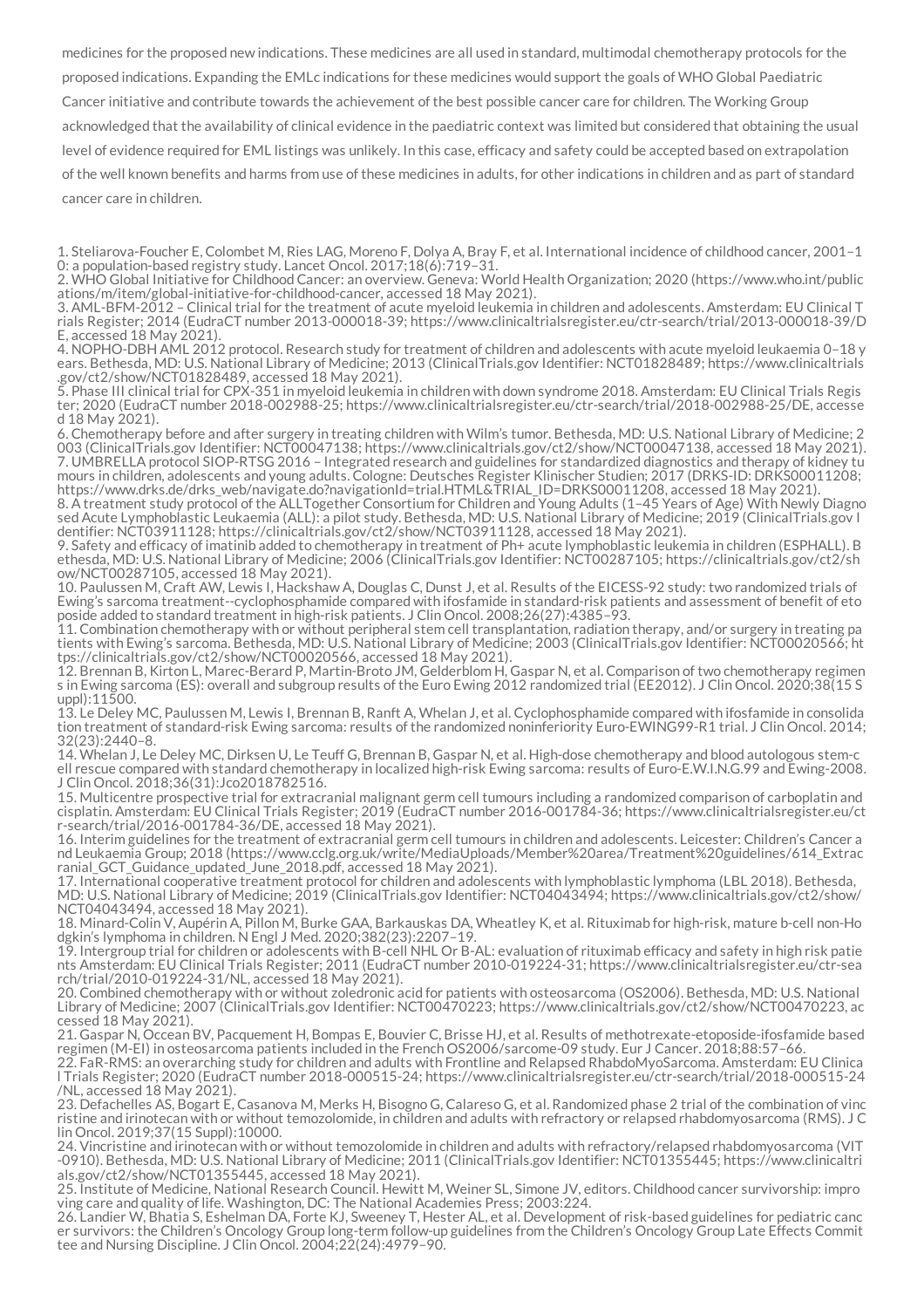medicines for the proposed new indications. These medicines are all used in standard, multimodal chemotherapy protocols for the proposed indications. Expanding the EMLc indications for these medicines would support the goals of WHO Global Paediatric Cancer initiative and contribute towards the achievement of the best possible cancer care for children. The Working Group acknowledged that the availability of clinical evidence in the paediatric context was limited but considered that obtaining the usual level of evidence required for EML listings was unlikely. In this case, efficacy and safety could be accepted based on extrapolation of the well known benefits and harms from use of these medicines in adults, for other indications in children and as part of standard cancer care in children.

1. Steliarova-Foucher E, Colombet M, Ries LAG, Moreno F, Dolya A, Bray F, et al. International incidence of childhood cancer, 2001–1 0: a population-based registry study. Lancet Oncol. 2017;18(6):719–31.

4. NOPHO-DBH AML 2012 protocol. Research study for treatment of children and adolescents with acute myeloid leukaemia 0–18 y ears. Bethesda, MD: U.S. National Library of Medicine; 2013 (ClinicalTrials.gov Identifier: NCT01828489; https://www.clinicaltrials .gov/ct2/show/NCT01828489, accessed 18 May 2021).

5. Phase III clinical trial for CPX-351 in myeloid leukemia in children with down syndrome 2018. Amsterdam: EU Clinical Trials Regis ter; 2020 (EudraCT number 2018-002988-25; https://www.clinicaltrialsregister.eu/ctr-search/trial/2018-002988-25/DE, accesse d 18 May 2021).

6. Chemotherapy before and after surgery in treating children with Wilm's tumor. Bethesda, MD: U.S. National Library of Medicine; 2 003 (ClinicalTrials.gov Identifier: NCT00047138; https://www.clinicaltrials.gov/ct2/show/NCT00047138, accessed 18 May 2021). 7. UMBRELLA protocol SIOP-RTSG 2016 – Integrated research and guidelines for standardized diagnostics and therapy of kidney tu mours in children, adolescents and young adults. Cologne: Deutsches Register Klinischer Studien; 2017 (DRKS-ID: DRKS00011208; https://www.drks.de/drks\_web/navigate.do?navigationId=trial.HTML&TRIAL\_ID=DRKS00011208, accessed 18 May 2021).

8. A treatment study protocol of the ALLTogether Consortium for Children and Young Adults (1–45 Years of Age) With Newly Diagno sed Acute Lymphoblastic Leukaemia (ALL): a pilot study. Bethesda, MD: U.S. National Library of Medicine; 2019 (ClinicalTrials.gov I dentifier: NCT03911128; https://clinicaltrials.gov/ct2/show/NCT03911128, accessed 18 May 2021).

9. Safety and efficacy of imatinib added to chemotherapy in treatment of Ph+ acute lymphoblastic leukemia in children (ESPHALL). B ethesda, MD: U.S. National Library of Medicine; 2006 (ClinicalTrials.gov Identifier: NCT00287105; https://clinicaltrials.gov/ct2/sh ow/NCT00287105, accessed 18 May 2021).

10. Paulussen M, Craft AW, Lewis I, Hackshaw A, Douglas C, Dunst J, et al. Results of the EICESS-92 study: two randomized trials of Ewing's sarcoma treatment--cyclophosphamide compared with ifosfamide in standard-risk patients and assessment of benefit of eto poside added to standard treatment in high-risk patients. J Clin Oncol. 2008;26(27):4385–93.

11. Combination chemotherapy with or without peripheral stem cell transplantation, radiation therapy, and/or surgery in treating pa tients with Ewing's sarcoma. Bethesda, MD: U.S. National Library of Medicine; 2003 (ClinicalTrials.gov Identifier: NCT00020566; ht tps://clinicaltrials.gov/ct2/show/NCT00020566, accessed 18 May 2021).

12. Brennan B, Kirton L, Marec-Berard P, Martin-Broto JM, Gelderblom H, Gaspar N, et al. Comparison of two chemotherapy regimen s in Ewing sarcoma (ES): overall and subgroup results of the Euro Ewing 2012 randomized trial (EE2012). J Clin Oncol. 2020;38(15 S uppl):11500.

13. Le Deley MC, Paulussen M, Lewis I, Brennan B, Ranft A, Whelan J, et al. Cyclophosphamide compared with ifosfamide in consolida tion treatment of standard-risk Ewing sarcoma: results of the randomized noninferiority Euro-EWING99-R1 trial. J Clin Oncol. 2014; 32(23):2440–8.

14. Whelan J, Le Deley MC, Dirksen U, Le Teuff G, Brennan B, Gaspar N, et al. High-dose chemotherapy and blood autologous stem-c ell rescue compared with standard chemotherapy in localized high-risk Ewing sarcoma: results of Euro-E.W.I.N.G.99 and Ewing-2008. J Clin Oncol. 2018;36(31):Jco2018782516.

15. Multicentre prospective trial for extracranial malignant germ cell tumours including a randomized comparison of carboplatin and cisplatin. Amsterdam: EU Clinical Trials Register; 2019 (EudraCT number 2016-001784-36; https://www.clinicaltrialsregister.eu/ct r-search/trial/2016-001784-36/DE, accessed 18 May 2021).

16. Interim guidelines for the treatment of extracranial germ cell tumours in children and adolescents. Leicester: Children's Cancer a nd Leukaemia Group; 2018 (https://www.cclg.org.uk/write/MediaUploads/Member%20area/Treatment%20guidelines/614\_Extrac ranial\_GCT\_Guidance\_updated\_June\_2018.pdf, accessed 18 May 2021).

17. International cooperative treatment protocol for children and adolescents with lymphoblastic lymphoma (LBL 2018). Bethesda, MD: U.S. National Library of Medicine; 2019 (ClinicalTrials.gov Identifier: NCT04043494; https://www.clinicaltrials.gov/ct2/show/ NCT04043494, accessed 18 May 2021).

18. Minard-Colin V, Aupérin A, Pillon M, Burke GAA, Barkauskas DA, Wheatley K, et al. Rituximab for high-risk, mature b-cell non-Ho dgkin's lymphoma in children. N Engl J Med. 2020;382(23):2207–19.

19. Intergroup trial for children or adolescents with B-cell NHL Or B-AL: evaluation of rituximab efficacy and safety in high risk patie nts Amsterdam: EU Clinical Trials Register; 2011 (EudraCT number 2010-019224-31; https://www.clinicaltrialsregister.eu/ctr-sea rch/trial/2010-019224-31/NL, accessed 18 May 2021).

20. Combined chemotherapy with or without zoledronic acid for patients with osteosarcoma (OS2006). Bethesda, MD: U.S. National Library of Medicine; 2007 (ClinicalTrials.gov Identifier: NCT00470223; https://www.clinicaltrials.gov/ct2/show/NCT00470223, ac cessed 18 May 2021).

21. Gaspar N, Occean BV, Pacquement H, Bompas E, Bouvier C, Brisse HJ, et al. Results of methotrexate-etoposide-ifosfamide based regimen (M-EI) in osteosarcoma patients included in the French OS2006/sarcome-09 study. Eur J Cancer. 2018;88:57–66.

22. FaR-RMS: an overarching study for children and adults with Frontline and Relapsed RhabdoMyoSarcoma. Amsterdam: EU Clinica l Trials Register; 2020 (EudraCT number 2018-000515-24; https://www.clinicaltrialsregister.eu/ctr-search/trial/2018-000515-24 /NL, accessed 18 May 2021).

23. Defachelles AS, Bogart E, Casanova M, Merks H, Bisogno G, Calareso G, et al. Randomized phase 2 trial of the combination of vinc ristine and irinotecan with or without temozolomide, in children and adults with refractory or relapsed rhabdomyosarcoma (RMS). J C lin Oncol. 2019;37(15 Suppl):10000.

24. Vincristine and irinotecan with or without temozolomide in children and adults with refractory/relapsed rhabdomyosarcoma (VIT -0910). Bethesda, MD: U.S. National Library of Medicine; 2011 (ClinicalTrials.gov Identifier: NCT01355445; https://www.clinicaltri als.gov/ct2/show/NCT01355445, accessed 18 May 2021).

25. Institute of Medicine, National Research Council. Hewitt M, Weiner SL, Simone JV, editors. Childhood cancer survivorship: impro ving care and quality of life. Washington, DC: The National Academies Press; 2003:224.

26. Landier W, Bhatia S, Eshelman DA, Forte KJ, Sweeney T, Hester AL, et al. Development of risk-based guidelines for pediatric canc er survivors: the Children's Oncology Group long-term follow-up guidelines from the Children's Oncology Group Late Effects Commit tee and Nursing Discipline. J Clin Oncol. 2004;22(24):4979–90.

<sup>2.</sup> WHO Global Initiative for Childhood Cancer: an overview. Geneva: World Health Organization; 2020 (https://www.who.int/public ations/m/item/global-initiative-for-childhood-cancer, accessed 18 May 2021).

<sup>3.</sup> AML-BFM-2012 – Clinical trial for the treatment of acute myeloid leukemia in children and adolescents. Amsterdam: EU Clinical T rials Register; 2014 (EudraCT number 2013-000018-39; https://www.clinicaltrialsregister.eu/ctr-search/trial/2013-000018-39/D E, accessed 18 May 2021).